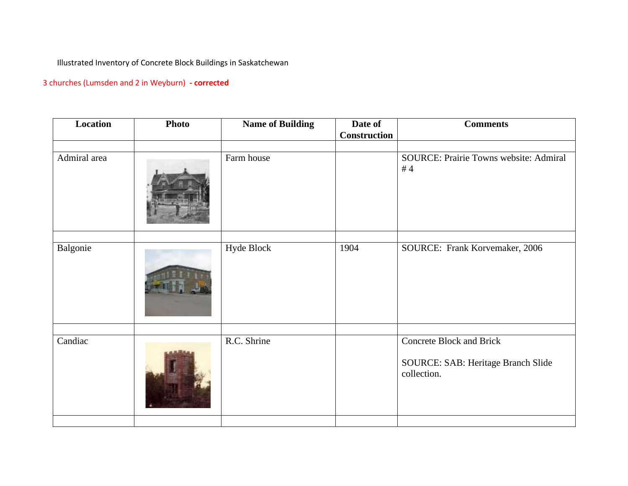Illustrated Inventory of Concrete Block Buildings in Saskatchewan

## 3 churches (Lumsden and 2 in Weyburn) **- corrected**

| Location     | <b>Photo</b> | <b>Name of Building</b> | Date of<br>Construction | <b>Comments</b>                                                                      |
|--------------|--------------|-------------------------|-------------------------|--------------------------------------------------------------------------------------|
| Admiral area |              | Farm house              |                         | SOURCE: Prairie Towns website: Admiral<br>#4                                         |
| Balgonie     |              | Hyde Block              | 1904                    | SOURCE: Frank Korvemaker, 2006                                                       |
| Candiac      |              | R.C. Shrine             |                         | <b>Concrete Block and Brick</b><br>SOURCE: SAB: Heritage Branch Slide<br>collection. |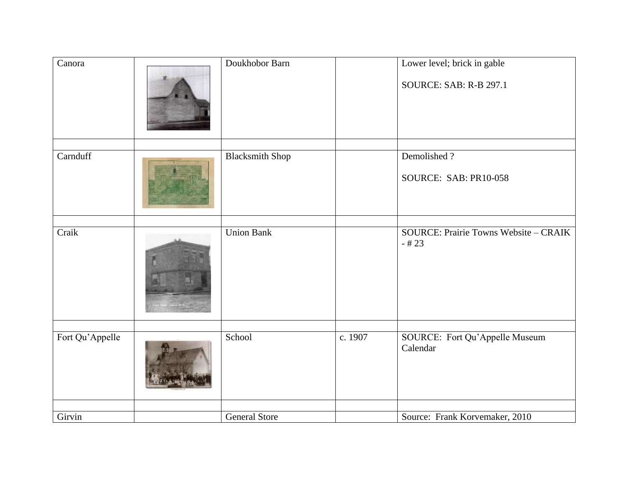| Canora          | Doukhobor Barn         |         | Lower level; brick in gable<br><b>SOURCE: SAB: R-B 297.1</b> |
|-----------------|------------------------|---------|--------------------------------------------------------------|
| Carnduff        | <b>Blacksmith Shop</b> |         | Demolished?<br>SOURCE: SAB: PR10-058                         |
| Craik           | <b>Union Bank</b>      |         | <b>SOURCE: Prairie Towns Website - CRAIK</b><br>$-#23$       |
| Fort Qu'Appelle | School                 | c. 1907 | SOURCE: Fort Qu'Appelle Museum<br>Calendar                   |
| Girvin          | <b>General Store</b>   |         | Source: Frank Korvemaker, 2010                               |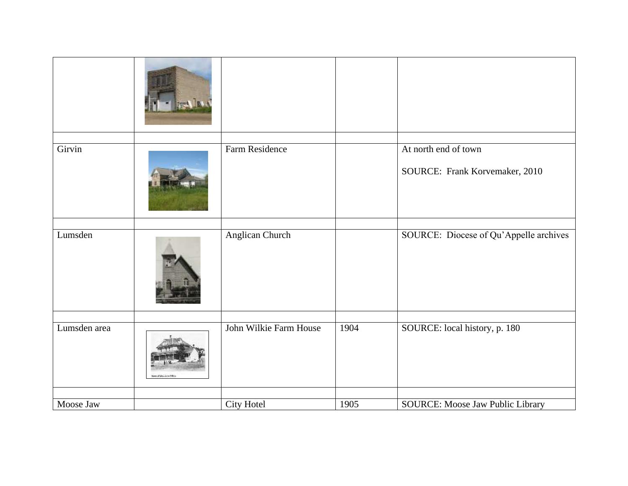| Girvin       |                         | Farm Residence         |      | At north end of town                   |
|--------------|-------------------------|------------------------|------|----------------------------------------|
|              |                         |                        |      | SOURCE: Frank Korvemaker, 2010         |
|              |                         |                        |      |                                        |
| Lumsden      |                         | Anglican Church        |      | SOURCE: Diocese of Qu'Appelle archives |
|              |                         |                        |      |                                        |
| Lumsden area | ment the Service Police | John Wilkie Farm House | 1904 | SOURCE: local history, p. 180          |
|              |                         |                        | 1905 |                                        |
| Moose Jaw    |                         | City Hotel             |      | SOURCE: Moose Jaw Public Library       |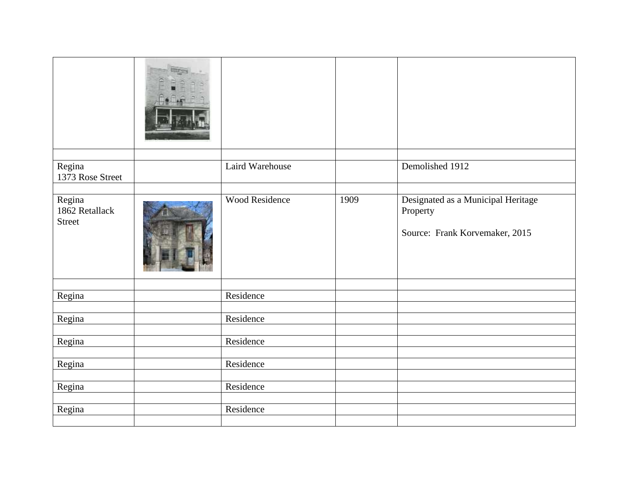| Regina<br>1373 Rose Street                | Laird Warehouse |      | Demolished 1912                                                                  |
|-------------------------------------------|-----------------|------|----------------------------------------------------------------------------------|
| Regina<br>1862 Retallack<br><b>Street</b> | Wood Residence  | 1909 | Designated as a Municipal Heritage<br>Property<br>Source: Frank Korvemaker, 2015 |
| Regina                                    | Residence       |      |                                                                                  |
| Regina                                    | Residence       |      |                                                                                  |
| Regina                                    | Residence       |      |                                                                                  |
| Regina                                    | Residence       |      |                                                                                  |
| Regina                                    | Residence       |      |                                                                                  |
| Regina                                    | Residence       |      |                                                                                  |
|                                           |                 |      |                                                                                  |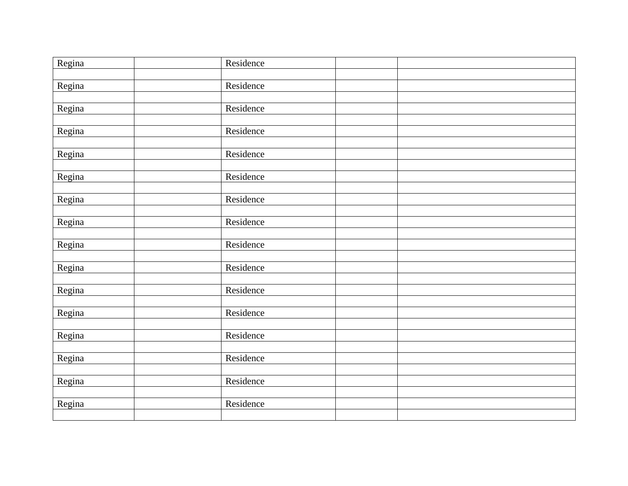| Regina | Residence |  |
|--------|-----------|--|
|        |           |  |
| Regina | Residence |  |
|        |           |  |
| Regina | Residence |  |
|        |           |  |
| Regina | Residence |  |
|        |           |  |
| Regina | Residence |  |
|        |           |  |
| Regina | Residence |  |
| Regina | Residence |  |
|        |           |  |
| Regina | Residence |  |
|        |           |  |
| Regina | Residence |  |
|        |           |  |
| Regina | Residence |  |
|        |           |  |
| Regina | Residence |  |
|        |           |  |
| Regina | Residence |  |
|        |           |  |
| Regina | Residence |  |
|        |           |  |
| Regina | Residence |  |
|        |           |  |
| Regina | Residence |  |
|        |           |  |
| Regina | Residence |  |
|        |           |  |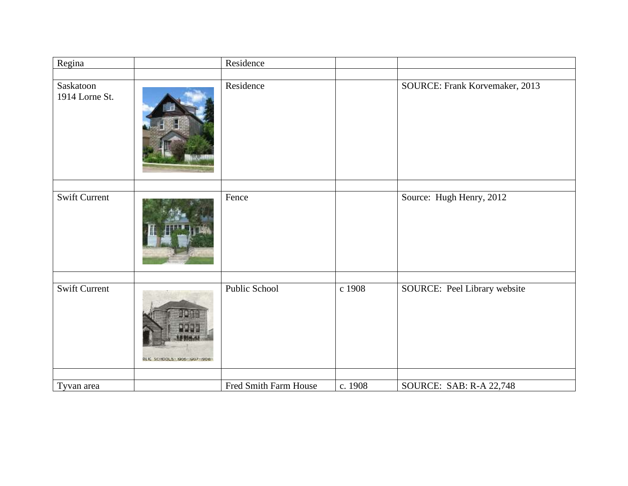| Regina                      |                               | Residence             |         |                                |
|-----------------------------|-------------------------------|-----------------------|---------|--------------------------------|
|                             |                               |                       |         |                                |
| Saskatoon<br>1914 Lorne St. |                               | Residence             |         | SOURCE: Frank Korvemaker, 2013 |
|                             |                               |                       |         |                                |
| Swift Current               |                               | Fence                 |         | Source: Hugh Henry, 2012       |
|                             |                               |                       |         |                                |
| <b>Swift Current</b>        | BLIC SCHOOLS- 1900-1907-1908- | Public School         | c 1908  | SOURCE: Peel Library website   |
|                             |                               |                       |         |                                |
| Tyvan area                  |                               | Fred Smith Farm House | c. 1908 | SOURCE: SAB: R-A 22,748        |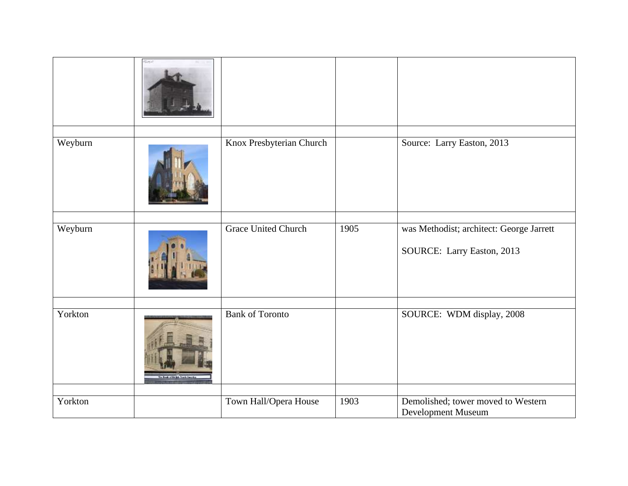|         | SHA                                  |                            |      |                                                                        |
|---------|--------------------------------------|----------------------------|------|------------------------------------------------------------------------|
| Weyburn |                                      | Knox Presbyterian Church   |      | Source: Larry Easton, 2013                                             |
| Weyburn |                                      | <b>Grace United Church</b> | 1905 | was Methodist; architect: George Jarrett<br>SOURCE: Larry Easton, 2013 |
| Yorkton | <b>Bank of the third Strategy As</b> | <b>Bank of Toronto</b>     |      | SOURCE: WDM display, 2008                                              |
| Yorkton |                                      | Town Hall/Opera House      | 1903 | Demolished; tower moved to Western<br>Development Museum               |